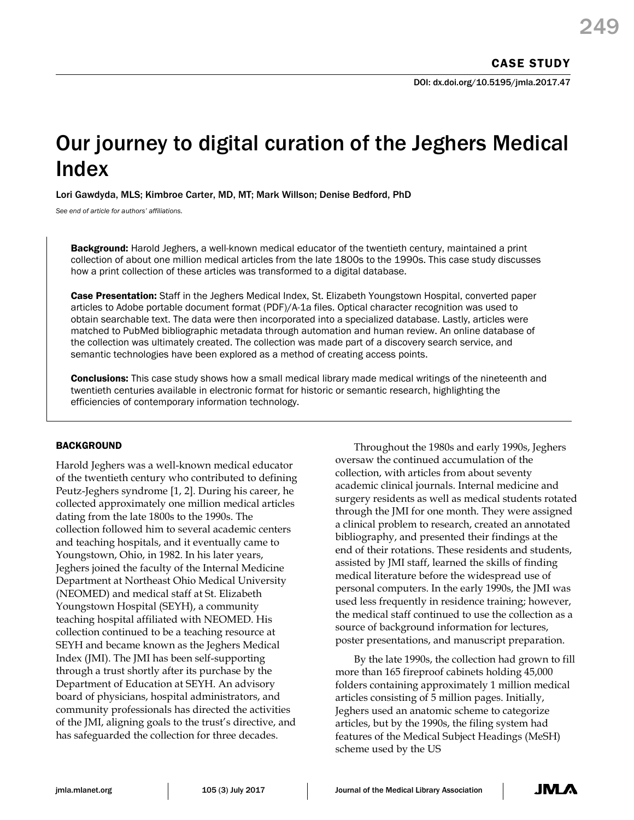# Our journey to digital curation of the Jeghers Medical Index

Lori Gawdyda, MLS; Kimbroe Carter, MD, MT; Mark Willson; Denise Bedford, PhD

*See end of article for authors' affiliations.*

**Background:** Harold Jeghers, a well-known medical educator of the twentieth century, maintained a print collection of about one million medical articles from the late 1800s to the 1990s. This case study discusses how a print collection of these articles was transformed to a digital database.

Case Presentation: Staff in the Jeghers Medical Index, St. Elizabeth Youngstown Hospital, converted paper articles to Adobe portable document format (PDF)/A-1a files. Optical character recognition was used to obtain searchable text. The data were then incorporated into a specialized database. Lastly, articles were matched to PubMed bibliographic metadata through automation and human review. An online database of the collection was ultimately created. The collection was made part of a discovery search service, and semantic technologies have been explored as a method of creating access points.

**Conclusions:** This case study shows how a small medical library made medical writings of the nineteenth and twentieth centuries available in electronic format for historic or semantic research, highlighting the efficiencies of contemporary information technology.

## **BACKGROUND**

Harold Jeghers was a well-known medical educator of the twentieth century who contributed to defining Peutz-Jeghers syndrome [1, 2]. During his career, he collected approximately one million medical articles dating from the late 1800s to the 1990s. The collection followed him to several academic centers and teaching hospitals, and it eventually came to Youngstown, Ohio, in 1982. In his later years, Jeghers joined the faculty of the Internal Medicine Department at Northeast Ohio Medical University (NEOMED) and medical staff at St. Elizabeth Youngstown Hospital (SEYH), a community teaching hospital affiliated with NEOMED. His collection continued to be a teaching resource at SEYH and became known as the Jeghers Medical Index (JMI). The JMI has been self-supporting through a trust shortly after its purchase by the Department of Education at SEYH. An advisory board of physicians, hospital administrators, and community professionals has directed the activities of the JMI, aligning goals to the trust's directive, and has safeguarded the collection for three decades.

Throughout the 1980s and early 1990s, Jeghers oversaw the continued accumulation of the collection, with articles from about seventy academic clinical journals. Internal medicine and surgery residents as well as medical students rotated through the JMI for one month. They were assigned a clinical problem to research, created an annotated bibliography, and presented their findings at the end of their rotations. These residents and students, assisted by JMI staff, learned the skills of finding medical literature before the widespread use of personal computers. In the early 1990s, the JMI was used less frequently in residence training; however, the medical staff continued to use the collection as a source of background information for lectures, poster presentations, and manuscript preparation.

By the late 1990s, the collection had grown to fill more than 165 fireproof cabinets holding 45,000 folders containing approximately 1 million medical articles consisting of 5 million pages. Initially, Jeghers used an anatomic scheme to categorize articles, but by the 1990s, the filing system had features of the Medical Subject Headings (MeSH) scheme used by the US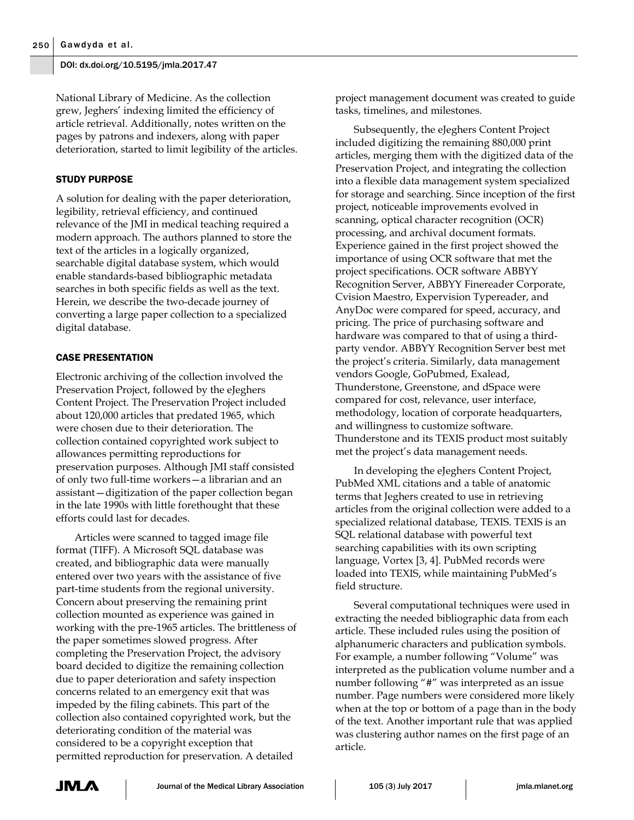National Library of Medicine. As the collection grew, Jeghers' indexing limited the efficiency of article retrieval. Additionally, notes written on the pages by patrons and indexers, along with paper deterioration, started to limit legibility of the articles.

## STUDY PURPOSE

A solution for dealing with the paper deterioration, legibility, retrieval efficiency, and continued relevance of the JMI in medical teaching required a modern approach. The authors planned to store the text of the articles in a logically organized, searchable digital database system, which would enable standards-based bibliographic metadata searches in both specific fields as well as the text. Herein, we describe the two-decade journey of converting a large paper collection to a specialized digital database.

## CASE PRESENTATION

Electronic archiving of the collection involved the Preservation Project, followed by the eJeghers Content Project. The Preservation Project included about 120,000 articles that predated 1965, which were chosen due to their deterioration. The collection contained copyrighted work subject to allowances permitting reproductions for preservation purposes. Although JMI staff consisted of only two full-time workers—a librarian and an assistant—digitization of the paper collection began in the late 1990s with little forethought that these efforts could last for decades.

Articles were scanned to tagged image file format (TIFF). A Microsoft SQL database was created, and bibliographic data were manually entered over two years with the assistance of five part-time students from the regional university. Concern about preserving the remaining print collection mounted as experience was gained in working with the pre-1965 articles. The brittleness of the paper sometimes slowed progress. After completing the Preservation Project, the advisory board decided to digitize the remaining collection due to paper deterioration and safety inspection concerns related to an emergency exit that was impeded by the filing cabinets. This part of the collection also contained copyrighted work, but the deteriorating condition of the material was considered to be a copyright exception that permitted reproduction for preservation. A detailed

project management document was created to guide tasks, timelines, and milestones.

Subsequently, the eJeghers Content Project included digitizing the remaining 880,000 print articles, merging them with the digitized data of the Preservation Project, and integrating the collection into a flexible data management system specialized for storage and searching. Since inception of the first project, noticeable improvements evolved in scanning, optical character recognition (OCR) processing, and archival document formats. Experience gained in the first project showed the importance of using OCR software that met the project specifications. OCR software ABBYY Recognition Server, ABBYY Finereader Corporate, Cvision Maestro, Expervision Typereader, and AnyDoc were compared for speed, accuracy, and pricing. The price of purchasing software and hardware was compared to that of using a thirdparty vendor. ABBYY Recognition Server best met the project's criteria. Similarly, data management vendors Google, GoPubmed, Exalead, Thunderstone, Greenstone, and dSpace were compared for cost, relevance, user interface, methodology, location of corporate headquarters, and willingness to customize software. Thunderstone and its TEXIS product most suitably met the project's data management needs.

In developing the eJeghers Content Project, PubMed XML citations and a table of anatomic terms that Jeghers created to use in retrieving articles from the original collection were added to a specialized relational database, TEXIS. TEXIS is an SQL relational database with powerful text searching capabilities with its own scripting language, Vortex [3, 4]. PubMed records were loaded into TEXIS, while maintaining PubMed's field structure.

Several computational techniques were used in extracting the needed bibliographic data from each article. These included rules using the position of alphanumeric characters and publication symbols. For example, a number following "Volume" was interpreted as the publication volume number and a number following "#" was interpreted as an issue number. Page numbers were considered more likely when at the top or bottom of a page than in the body of the text. Another important rule that was applied was clustering author names on the first page of an article.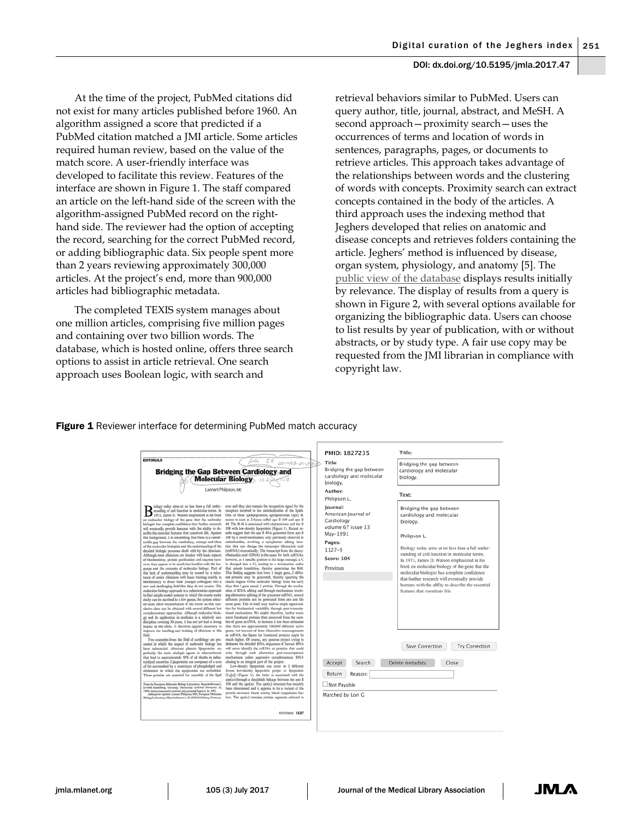At the time of the project, PubMed citations did not exist for many articles published before 1960. An algorithm assigned a score that predicted if a PubMed citation matched a JMI article. Some articles required human review, based on the value of the match score. A user-friendly interface was developed to facilitate this review. Features of the interface are shown in Figure 1. The staff compared an article on the left-hand side of the screen with the algorithm-assigned PubMed record on the righthand side. The reviewer had the option of accepting the record, searching for the correct PubMed record, or adding bibliographic data. Six people spent more than 2 years reviewing approximately 300,000 articles. At the project's end, more than 900,000 articles had bibliographic metadata.

The completed TEXIS system manages about one million articles, comprising five million pages and containing over two billion words. The database, which is hosted online, offers three search options to assist in article retrieval. One search approach uses Boolean logic, with search and

retrieval behaviors similar to PubMed. Users can query author, title, journal, abstract, and MeSH. A second approach—proximity search—uses the occurrences of terms and location of words in sentences, paragraphs, pages, or documents to retrieve articles. This approach takes advantage of the relationships between words and the clustering of words with concepts. Proximity search can extract concepts contained in the body of the articles. A third approach uses the indexing method that Jeghers developed that relies on anatomic and disease concepts and retrieves folders containing the article. Jeghers' method is influenced by disease, organ system, physiology, and anatomy [5]. The [public view of the database](http://www.jeghersindex.org/search) displays results initially by relevance. The display of results from a query is shown in Figure 2, with several options available for organizing the bibliographic data. Users can choose to list results by year of publication, with or without abstracts, or by study type. A fair use copy may be requested from the JMI librarian in compliance with copyright law.

#### Figure 1 Reviewer interface for determining PubMed match accuracy

|                                                                                                                                                                                                                                                                                                                                                                                                                                                                                                                                                                                                                                                                                                                                                                                                                                                                                                                                                                                                                                                                                                                                                                                                                                                                                                                                                                                                                                                                                                                                                                                                                                                                                                                                                                                                                                                                                                                                                                                                                                                                                                                                                                                                                                                                                                                                                                                                                                                                                                                                                           |                                                                                                                                                                                                                                                                                                                                                                                                                                                                                                                                                                                                                                                                                                                                                                                                                                                                                                                                                                                                                                                                                                                                                                                                                                                                                                                                                                                                                                                                                                                                                                                                                                                                                                                                                                                                                                                                                                                                                                                                                                                                                                                                                                                                                                                                                                                                                                                                                                                                                                                  | PMID: 1827235                                                                                                                                                                                                                                | Title:                                                                                                                                                                                                                                                                                                                                                                                                                                                                                                                                                      |
|-----------------------------------------------------------------------------------------------------------------------------------------------------------------------------------------------------------------------------------------------------------------------------------------------------------------------------------------------------------------------------------------------------------------------------------------------------------------------------------------------------------------------------------------------------------------------------------------------------------------------------------------------------------------------------------------------------------------------------------------------------------------------------------------------------------------------------------------------------------------------------------------------------------------------------------------------------------------------------------------------------------------------------------------------------------------------------------------------------------------------------------------------------------------------------------------------------------------------------------------------------------------------------------------------------------------------------------------------------------------------------------------------------------------------------------------------------------------------------------------------------------------------------------------------------------------------------------------------------------------------------------------------------------------------------------------------------------------------------------------------------------------------------------------------------------------------------------------------------------------------------------------------------------------------------------------------------------------------------------------------------------------------------------------------------------------------------------------------------------------------------------------------------------------------------------------------------------------------------------------------------------------------------------------------------------------------------------------------------------------------------------------------------------------------------------------------------------------------------------------------------------------------------------------------------------|------------------------------------------------------------------------------------------------------------------------------------------------------------------------------------------------------------------------------------------------------------------------------------------------------------------------------------------------------------------------------------------------------------------------------------------------------------------------------------------------------------------------------------------------------------------------------------------------------------------------------------------------------------------------------------------------------------------------------------------------------------------------------------------------------------------------------------------------------------------------------------------------------------------------------------------------------------------------------------------------------------------------------------------------------------------------------------------------------------------------------------------------------------------------------------------------------------------------------------------------------------------------------------------------------------------------------------------------------------------------------------------------------------------------------------------------------------------------------------------------------------------------------------------------------------------------------------------------------------------------------------------------------------------------------------------------------------------------------------------------------------------------------------------------------------------------------------------------------------------------------------------------------------------------------------------------------------------------------------------------------------------------------------------------------------------------------------------------------------------------------------------------------------------------------------------------------------------------------------------------------------------------------------------------------------------------------------------------------------------------------------------------------------------------------------------------------------------------------------------------------------------|----------------------------------------------------------------------------------------------------------------------------------------------------------------------------------------------------------------------------------------------|-------------------------------------------------------------------------------------------------------------------------------------------------------------------------------------------------------------------------------------------------------------------------------------------------------------------------------------------------------------------------------------------------------------------------------------------------------------------------------------------------------------------------------------------------------------|
| <b>EDITORIALS</b><br>Lui.<br>CV<br>$001 - A A - 01 - A B - D$<br><b>Bridging the Gap Between Cardiology and</b><br><b>Molecular Biology</b><br>Lennart Philipson, MD                                                                                                                                                                                                                                                                                                                                                                                                                                                                                                                                                                                                                                                                                                                                                                                                                                                                                                                                                                                                                                                                                                                                                                                                                                                                                                                                                                                                                                                                                                                                                                                                                                                                                                                                                                                                                                                                                                                                                                                                                                                                                                                                                                                                                                                                                                                                                                                      |                                                                                                                                                                                                                                                                                                                                                                                                                                                                                                                                                                                                                                                                                                                                                                                                                                                                                                                                                                                                                                                                                                                                                                                                                                                                                                                                                                                                                                                                                                                                                                                                                                                                                                                                                                                                                                                                                                                                                                                                                                                                                                                                                                                                                                                                                                                                                                                                                                                                                                                  | Title:<br>Bridging the gap between<br>cardiology and molecular<br>biology.                                                                                                                                                                   | Bridging the gap between<br>cardiology and molecular<br>biology.                                                                                                                                                                                                                                                                                                                                                                                                                                                                                            |
| blogy today aims at no less than a full under-<br>standing of cell function in molecular terms. In<br>1973, James D. Watson emphasized in his book<br>on molecular biology of the gene that the molecular<br>biologist has complete confidence that further research<br>will eventually provide humans with the ability to de-<br>scribe the essential features that constitute life. Against<br>this background, it is astonishing that there is a consid-<br>erable gap between the vocabulary, concept and ideas<br>of the molecular biologists and the understanding of the<br>detailed biologic processes dealt with by the clinicians.<br>Although most clinicians are familar with basic aspects<br>of biochemistry, protein purification and enzyme turn-<br>over, they appear to be much less familiar with the lan-<br>guage and the concepts of molecular biology. Part of<br>this lack of understanding may be caused by a reluc-<br>tance of senior clinicians with basic training mainly in<br>biochemistry to direct their younger colleagues into a<br>new and challenging field that they do not master. The<br>molecular biology approach is a reductionistic approach<br>to find simple model systems in which the events under<br>study can be ascribed to a few genes: the system select-<br>ed must allow reconstitution of the events so that con-<br>clusive data can be obtained with several different but<br>complementary approaches. Although molecular biolo-<br>gy and its application in medicine is a relatively new<br>discipline covering 30 years, it has not yet had a strong<br>impact in the clinic. It therefore appears necessary to<br>improve the teaching and training of clinicians in this<br>field.<br>Two examples from the field of cardiology are pre-<br>sented in which the impact of molecular biology has<br>been substantial. Aberrant plasma lipoproteins are<br>probably the main etiologic agents in atherosclerosis<br>that lead to approximately 50% of all deaths in indus-<br>trialized countries. Lipoproteins are composed of a core<br>of fat surrounded by a monolayer of phospholipid and<br>cholesterol in which the apoproteins are embedded.<br>These proteins are essential for assembly of the lipid<br>From the European Molecular Biology Laboratory, Meyothofstrasse 1,<br>D-6900 Heidelberg, Germany, Manuscript prefewed November 30,<br>1990; revised manuscript received and accepted January 14, 1991.<br>Address for reprints: Lennart Philipson, MD, European Molocular | core and they also contain the recognition signal for the<br>receptors involved in the metabolization of the lipids.<br>One of these apolipoproteins, apolipoprotein (apo) B,<br>seems to exist in 2 forms called apo B 100 and apo B<br>48. The B 48 is associated with chylomicrons and the B<br>100 with low-density lipoprotein (Figure 1). Recent re-<br>sults suggest that the ago B 48 is generated from ago B<br>100 by a novel mechanism, only previously observed in<br>mitochondria, involvine a cytoolasmic editine func-<br>tion that can change the mementer ribonucleic acid<br>(mRNA) dramatically. The transcript from the deoxy-<br>ribonucleic acid (DNA) is the same for both mRNAs;<br>however, at 1 specific position in the large message, a C<br>is changed into a U, leading to a termination codon<br>that arrests translation, thereby generating the B48.<br>This finding suggests that from 1 single gene, 2 differ-<br>ent proteins may be generated, thereby upsetting the<br>classic dogma within molecular biology from the early<br>days that I gene equals I protein. Through the mecha-<br>nism of RNA editing and through mechanisms involv-<br>ing alternative splicing of the precursor mRNA, several<br>different proteins can be generated from one and the<br>same gene. This in itself may lead to ample opportuni-<br>ties for biochemical variability through post-transcrip-<br>tional mechanisms. We might, therefore, harbor many<br>more functional proteins than presumed from the num-<br>ber of genes in DNA. In humans it has been estimated<br>that there are approximately 100,000 different active<br>genes, but because of these alternative rearrangements<br>in mRNA, the figure for functional proteins might be<br>much higher. Of course, any genome project trying to<br>delineate the detailed DNA sequences of human DNA<br>will never identify the mRNA or proteins that could<br>arise through such alternative post-transcriptional<br>mechanisms unless aggressive complementary DNA<br>cloning is an integral part of the project.<br>Low-density lipoprotein can occur in 2 different<br>forms: low-density lipoprotein proper or lipoprotein<br>(Lefal) (Figure 1); the latter is associated with the<br>apo(a) through a disulphide linkage between the apo B<br>100 and the apo(a). The apo(a) structure has recently<br>been determined and it appears to be a variant of the<br>protein structure found among blood coagulation fac- | Author:<br>Philipson L.<br>Journal:<br>American Journal of<br>Cardiology<br>volume 67 issue 13<br>May-1991<br>Pages:<br>1127-9<br><b>Score: 504</b><br>Previous<br>Accept<br>Search<br>Return<br>Reason:<br>Not Payable<br>Matched by Lori G | Text:<br>Bridging the gap between<br>cardiology and molecular<br>biology.<br>Philipson L.<br>Biology today aims at no less than a full under-<br>standing of cell function in molecular terms.<br>In 1973, James D. Watson emphasized in his<br>book on molecular biology of the gene that the<br>molecular biologist has complete confidence<br>that further research will eventually provide<br>humans with the abEty to describe the essential<br>features that constitute life.<br>Save Correction<br><b>Try Correction</b><br>Delete metadata<br>Close |
| Biology Laboratory, Meyerhofstrasse 1, D-6900 Holdelberg, Gormany.                                                                                                                                                                                                                                                                                                                                                                                                                                                                                                                                                                                                                                                                                                                                                                                                                                                                                                                                                                                                                                                                                                                                                                                                                                                                                                                                                                                                                                                                                                                                                                                                                                                                                                                                                                                                                                                                                                                                                                                                                                                                                                                                                                                                                                                                                                                                                                                                                                                                                        | tors. The apo(a) contains protein segments referred to<br><b>FDITORIALS 1127</b>                                                                                                                                                                                                                                                                                                                                                                                                                                                                                                                                                                                                                                                                                                                                                                                                                                                                                                                                                                                                                                                                                                                                                                                                                                                                                                                                                                                                                                                                                                                                                                                                                                                                                                                                                                                                                                                                                                                                                                                                                                                                                                                                                                                                                                                                                                                                                                                                                                 |                                                                                                                                                                                                                                              |                                                                                                                                                                                                                                                                                                                                                                                                                                                                                                                                                             |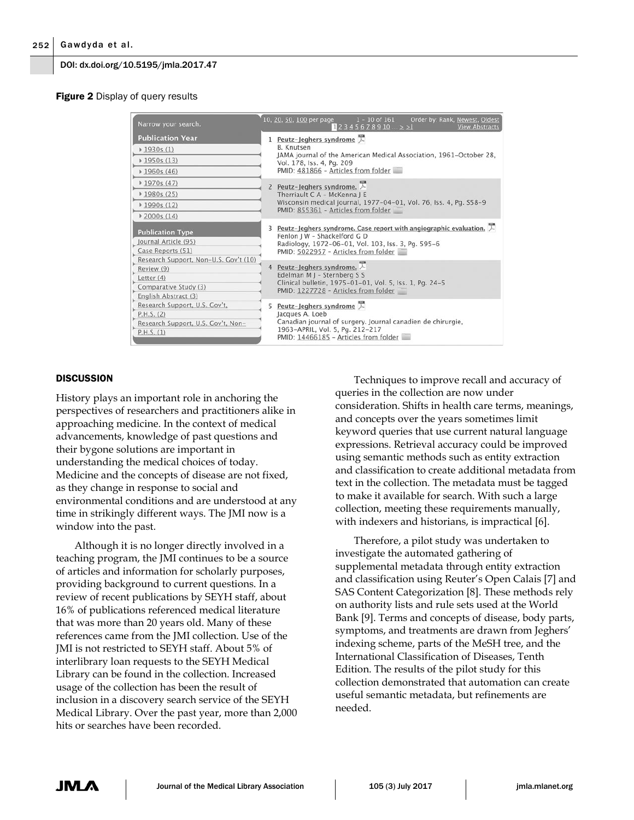#### **Figure 2** Display of query results

| Narrow your search.                                                                                                | $1 - 10$ of 161<br>10, 20, 50, 100 per page<br>Order by: Rank, Newest, Oldest<br>$12345678910 \ge 21$<br><b>View Abstracts</b>                                                                             |  |
|--------------------------------------------------------------------------------------------------------------------|------------------------------------------------------------------------------------------------------------------------------------------------------------------------------------------------------------|--|
| <b>Publication Year</b>                                                                                            | 1 Peutz-Jeghers syndrome $\searrow$                                                                                                                                                                        |  |
| $*1930s(1)$                                                                                                        | <b>B.</b> Knutsen                                                                                                                                                                                          |  |
| $*1950s(13)$                                                                                                       | JAMA journal of the American Medical Association, 1961-October 28,<br>Vol. 178, Iss. 4, Pq. 209<br>PMID: 481866 - Articles from folder                                                                     |  |
| $*1960s(46)$                                                                                                       |                                                                                                                                                                                                            |  |
| $*1970s(47)$                                                                                                       | 2 Peutz-Jeghers syndrome. $\overline{\wedge}$                                                                                                                                                              |  |
| $*1980s(25)$                                                                                                       | Therriault C A - McKenna J E                                                                                                                                                                               |  |
| $*1990s(12)$                                                                                                       | Wisconsin medical journal, 1977-04-01, Vol. 76, Iss. 4, Pg. S58-9<br>PMID: 855361 - Articles from folder                                                                                                   |  |
| $*2000s(14)$                                                                                                       |                                                                                                                                                                                                            |  |
| <b>Publication Type</b><br>Journal Article (95)<br>Case Reports (51)                                               | 3 Peutz-Jeghers syndrome. Case report with angiographic evaluation. $\Box$<br>Fenlon J W - Shackelford G D<br>Radiology, 1972-06-01, Vol. 103, Iss. 3, Pg. 595-6<br>PMID: 5022957 - Articles from folder   |  |
| Research Support, Non-U.S. Gov't (10)<br>Review (9)<br>Letter (4)<br>Comparative Study (3)<br>English Abstract (3) | 4 Peutz-Jeghers syndrome. $\overline{\wedge}$<br>Edelman M J - Sternberg S S<br>Clinical bulletin, 1975-01-01, Vol. 5, Iss. 1, Pq. 24-5<br>PMID: 1227728 - Articles from folder                            |  |
| Research Support, U.S. Gov't,<br>P.H.S. (2)<br>Research Support, U.S. Gov't, Non-<br>P.H.S. (1)                    | 5 Peutz-Jeghers syndrome $\overline{\wedge}$<br>Jacques A. Loeb<br>Canadian journal of surgery. Journal canadien de chirurgie,<br>1963-APRIL, Vol. 5, Pg. 212-217<br>PMID: 14466185 - Articles from folder |  |

## **DISCUSSION**

History plays an important role in anchoring the perspectives of researchers and practitioners alike in approaching medicine. In the context of medical advancements, knowledge of past questions and their bygone solutions are important in understanding the medical choices of today. Medicine and the concepts of disease are not fixed, as they change in response to social and environmental conditions and are understood at any time in strikingly different ways. The JMI now is a window into the past.

Although it is no longer directly involved in a teaching program, the JMI continues to be a source of articles and information for scholarly purposes, providing background to current questions. In a review of recent publications by SEYH staff, about 16% of publications referenced medical literature that was more than 20 years old. Many of these references came from the JMI collection. Use of the JMI is not restricted to SEYH staff. About 5% of interlibrary loan requests to the SEYH Medical Library can be found in the collection. Increased usage of the collection has been the result of inclusion in a discovery search service of the SEYH Medical Library. Over the past year, more than 2,000 hits or searches have been recorded.

Techniques to improve recall and accuracy of queries in the collection are now under consideration. Shifts in health care terms, meanings, and concepts over the years sometimes limit keyword queries that use current natural language expressions. Retrieval accuracy could be improved using semantic methods such as entity extraction and classification to create additional metadata from text in the collection. The metadata must be tagged to make it available for search. With such a large collection, meeting these requirements manually, with indexers and historians, is impractical [6].

Therefore, a pilot study was undertaken to investigate the automated gathering of supplemental metadata through entity extraction and classification using Reuter's Open Calais [7] and SAS Content Categorization [8]. These methods rely on authority lists and rule sets used at the World Bank [9]. Terms and concepts of disease, body parts, symptoms, and treatments are drawn from Jeghers' indexing scheme, parts of the MeSH tree, and the International Classification of Diseases, Tenth Edition. The results of the pilot study for this collection demonstrated that automation can create useful semantic metadata, but refinements are needed.